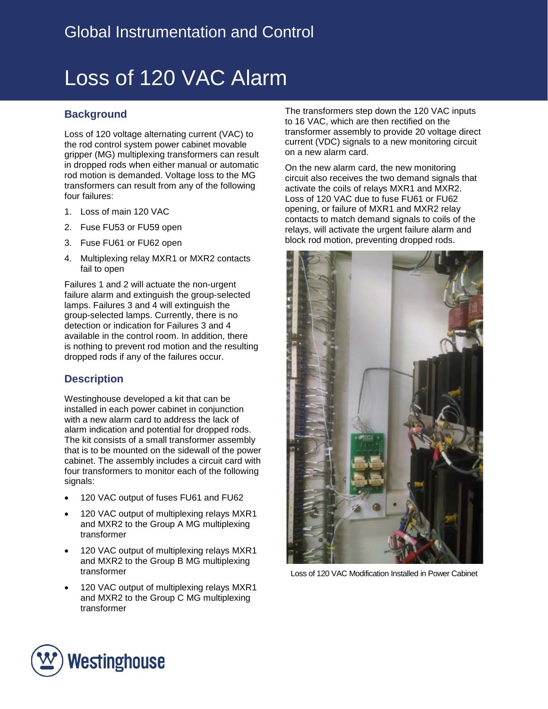# Loss of 120 VAC Alarm

## **Background**

Loss of 120 voltage alternating current (VAC) to the rod control system power cabinet movable gripper (MG) multiplexing transformers can result in dropped rods when either manual or automatic rod motion is demanded. Voltage loss to the MG transformers can result from any of the following four failures:

- 1. Loss of main 120 VAC
- 2. Fuse FU53 or FU59 open
- 3. Fuse FU61 or FU62 open
- 4. Multiplexing relay MXR1 or MXR2 contacts fail to open

Failures 1 and 2 will actuate the non-urgent failure alarm and extinguish the group-selected lamps. Failures 3 and 4 will extinguish the group-selected lamps. Currently, there is no detection or indication for Failures 3 and 4 available in the control room. In addition, there is nothing to prevent rod motion and the resulting dropped rods if any of the failures occur.

### **Description**

Westinghouse developed a kit that can be installed in each power cabinet in conjunction with a new alarm card to address the lack of alarm indication and potential for dropped rods. The kit consists of a small transformer assembly that is to be mounted on the sidewall of the power cabinet. The assembly includes a circuit card with four transformers to monitor each of the following signals:

- 120 VAC output of fuses FU61 and FU62
- 120 VAC output of multiplexing relays MXR1 and MXR2 to the Group A MG multiplexing transformer
- 120 VAC output of multiplexing relays MXR1 and MXR2 to the Group B MG multiplexing transformer
- 120 VAC output of multiplexing relays MXR1 and MXR2 to the Group C MG multiplexing transformer

The transformers step down the 120 VAC inputs to 16 VAC, which are then rectified on the transformer assembly to provide 20 voltage direct current (VDC) signals to a new monitoring circuit on a new alarm card.

On the new alarm card, the new monitoring circuit also receives the two demand signals that activate the coils of relays MXR1 and MXR2. Loss of 120 VAC due to fuse FU61 or FU62 opening, or failure of MXR1 and MXR2 relay contacts to match demand signals to coils of the relays, will activate the urgent failure alarm and block rod motion, preventing dropped rods.



Loss of 120 VAC Modification Installed in Power Cabinet